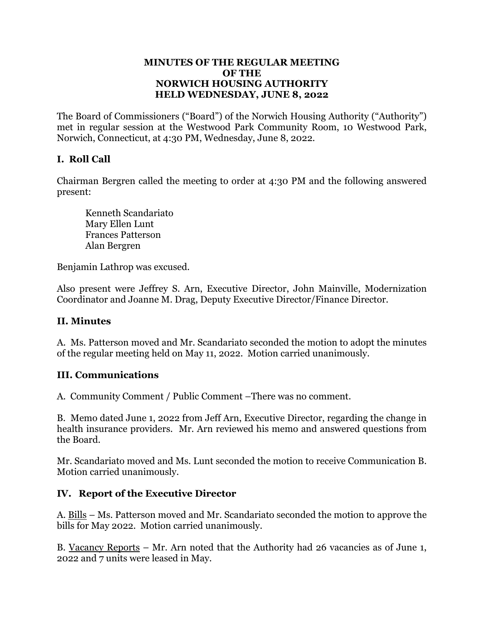#### **MINUTES OF THE REGULAR MEETING OF THE NORWICH HOUSING AUTHORITY HELD WEDNESDAY, JUNE 8, 2022**

The Board of Commissioners ("Board") of the Norwich Housing Authority ("Authority") met in regular session at the Westwood Park Community Room, 10 Westwood Park, Norwich, Connecticut, at 4:30 PM, Wednesday, June 8, 2022.

# **I. Roll Call**

Chairman Bergren called the meeting to order at 4:30 PM and the following answered present:

 Kenneth Scandariato Mary Ellen Lunt Frances Patterson Alan Bergren

Benjamin Lathrop was excused.

Also present were Jeffrey S. Arn, Executive Director, John Mainville, Modernization Coordinator and Joanne M. Drag, Deputy Executive Director/Finance Director.

# **II. Minutes**

A. Ms. Patterson moved and Mr. Scandariato seconded the motion to adopt the minutes of the regular meeting held on May 11, 2022. Motion carried unanimously.

### **III. Communications**

A. Community Comment / Public Comment –There was no comment.

B. Memo dated June 1, 2022 from Jeff Arn, Executive Director, regarding the change in health insurance providers. Mr. Arn reviewed his memo and answered questions from the Board.

Mr. Scandariato moved and Ms. Lunt seconded the motion to receive Communication B. Motion carried unanimously.

# **IV. Report of the Executive Director**

A. Bills – Ms. Patterson moved and Mr. Scandariato seconded the motion to approve the bills for May 2022. Motion carried unanimously.

B. Vacancy Reports – Mr. Arn noted that the Authority had 26 vacancies as of June 1, 2022 and 7 units were leased in May.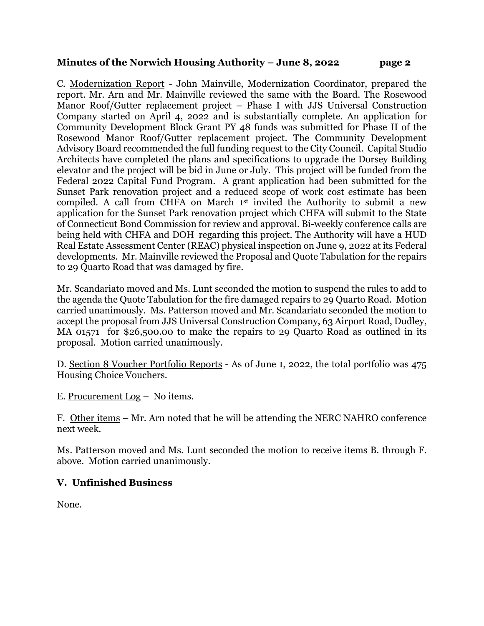### **Minutes of the Norwich Housing Authority – June 8, 2022 page 2**

C. Modernization Report - John Mainville, Modernization Coordinator, prepared the report. Mr. Arn and Mr. Mainville reviewed the same with the Board. The Rosewood Manor Roof/Gutter replacement project – Phase I with JJS Universal Construction Company started on April 4, 2022 and is substantially complete. An application for Community Development Block Grant PY 48 funds was submitted for Phase II of the Rosewood Manor Roof/Gutter replacement project. The Community Development Advisory Board recommended the full funding request to the City Council. Capital Studio Architects have completed the plans and specifications to upgrade the Dorsey Building elevator and the project will be bid in June or July. This project will be funded from the Federal 2022 Capital Fund Program. A grant application had been submitted for the Sunset Park renovation project and a reduced scope of work cost estimate has been compiled. A call from CHFA on March 1st invited the Authority to submit a new application for the Sunset Park renovation project which CHFA will submit to the State of Connecticut Bond Commission for review and approval. Bi-weekly conference calls are being held with CHFA and DOH regarding this project. The Authority will have a HUD Real Estate Assessment Center (REAC) physical inspection on June 9, 2022 at its Federal developments. Mr. Mainville reviewed the Proposal and Quote Tabulation for the repairs to 29 Quarto Road that was damaged by fire.

Mr. Scandariato moved and Ms. Lunt seconded the motion to suspend the rules to add to the agenda the Quote Tabulation for the fire damaged repairs to 29 Quarto Road. Motion carried unanimously. Ms. Patterson moved and Mr. Scandariato seconded the motion to accept the proposal from JJS Universal Construction Company, 63 Airport Road, Dudley, MA 01571 for \$26,500.00 to make the repairs to 29 Quarto Road as outlined in its proposal. Motion carried unanimously.

D. Section 8 Voucher Portfolio Reports - As of June 1, 2022, the total portfolio was 475 Housing Choice Vouchers.

E. Procurement Log – No items.

F. Other items – Mr. Arn noted that he will be attending the NERC NAHRO conference next week.

Ms. Patterson moved and Ms. Lunt seconded the motion to receive items B. through F. above. Motion carried unanimously.

# **V. Unfinished Business**

None.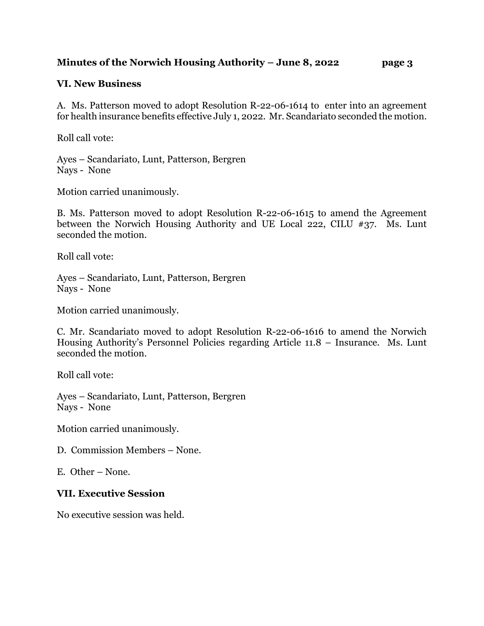## **Minutes of the Norwich Housing Authority – June 8, 2022 page 3**

## **VI. New Business**

A. Ms. Patterson moved to adopt Resolution R-22-06-1614 to enter into an agreement for health insurance benefits effective July 1, 2022. Mr. Scandariato seconded the motion.

Roll call vote:

Ayes – Scandariato, Lunt, Patterson, Bergren Nays - None

Motion carried unanimously.

B. Ms. Patterson moved to adopt Resolution R-22-06-1615 to amend the Agreement between the Norwich Housing Authority and UE Local 222, CILU #37. Ms. Lunt seconded the motion.

Roll call vote:

Ayes – Scandariato, Lunt, Patterson, Bergren Nays - None

Motion carried unanimously.

C. Mr. Scandariato moved to adopt Resolution R-22-06-1616 to amend the Norwich Housing Authority's Personnel Policies regarding Article 11.8 – Insurance. Ms. Lunt seconded the motion.

Roll call vote:

Ayes – Scandariato, Lunt, Patterson, Bergren Nays - None

Motion carried unanimously.

D. Commission Members – None.

E. Other – None.

### **VII. Executive Session**

No executive session was held.